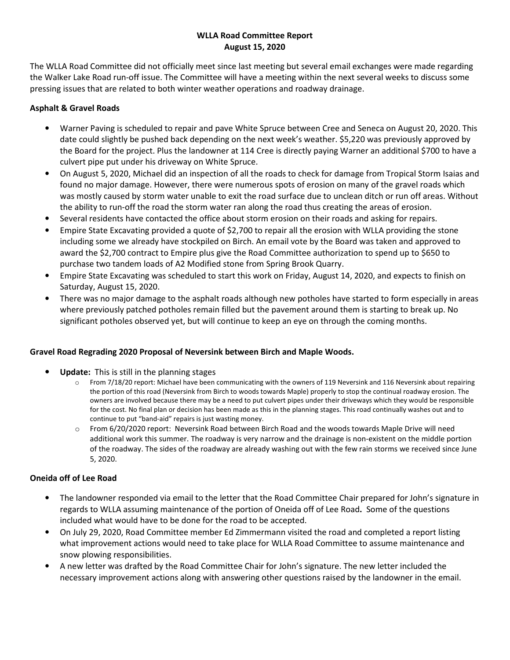# WLLA Road Committee Report August 15, 2020

The WLLA Road Committee did not officially meet since last meeting but several email exchanges were made regarding the Walker Lake Road run-off issue. The Committee will have a meeting within the next several weeks to discuss some pressing issues that are related to both winter weather operations and roadway drainage.

# Asphalt & Gravel Roads

- Warner Paving is scheduled to repair and pave White Spruce between Cree and Seneca on August 20, 2020. This date could slightly be pushed back depending on the next week's weather. \$5,220 was previously approved by the Board for the project. Plus the landowner at 114 Cree is directly paying Warner an additional \$700 to have a culvert pipe put under his driveway on White Spruce.
- On August 5, 2020, Michael did an inspection of all the roads to check for damage from Tropical Storm Isaias and found no major damage. However, there were numerous spots of erosion on many of the gravel roads which was mostly caused by storm water unable to exit the road surface due to unclean ditch or run off areas. Without the ability to run-off the road the storm water ran along the road thus creating the areas of erosion.
- Several residents have contacted the office about storm erosion on their roads and asking for repairs.
- Empire State Excavating provided a quote of \$2,700 to repair all the erosion with WLLA providing the stone including some we already have stockpiled on Birch. An email vote by the Board was taken and approved to award the \$2,700 contract to Empire plus give the Road Committee authorization to spend up to \$650 to purchase two tandem loads of A2 Modified stone from Spring Brook Quarry.
- Empire State Excavating was scheduled to start this work on Friday, August 14, 2020, and expects to finish on Saturday, August 15, 2020.
- There was no major damage to the asphalt roads although new potholes have started to form especially in areas where previously patched potholes remain filled but the pavement around them is starting to break up. No significant potholes observed yet, but will continue to keep an eye on through the coming months.

# Gravel Road Regrading 2020 Proposal of Neversink between Birch and Maple Woods.

- Update: This is still in the planning stages
	- $\circ$  From 7/18/20 report: Michael have been communicating with the owners of 119 Neversink and 116 Neversink about repairing the portion of this road (Neversink from Birch to woods towards Maple) properly to stop the continual roadway erosion. The owners are involved because there may be a need to put culvert pipes under their driveways which they would be responsible for the cost. No final plan or decision has been made as this in the planning stages. This road continually washes out and to continue to put "band-aid" repairs is just wasting money.
	- $\circ$  From 6/20/2020 report: Neversink Road between Birch Road and the woods towards Maple Drive will need additional work this summer. The roadway is very narrow and the drainage is non-existent on the middle portion of the roadway. The sides of the roadway are already washing out with the few rain storms we received since June 5, 2020.

# Oneida off of Lee Road

- The landowner responded via email to the letter that the Road Committee Chair prepared for John's signature in regards to WLLA assuming maintenance of the portion of Oneida off of Lee Road. Some of the questions included what would have to be done for the road to be accepted.
- On July 29, 2020, Road Committee member Ed Zimmermann visited the road and completed a report listing what improvement actions would need to take place for WLLA Road Committee to assume maintenance and snow plowing responsibilities.
- A new letter was drafted by the Road Committee Chair for John's signature. The new letter included the necessary improvement actions along with answering other questions raised by the landowner in the email.